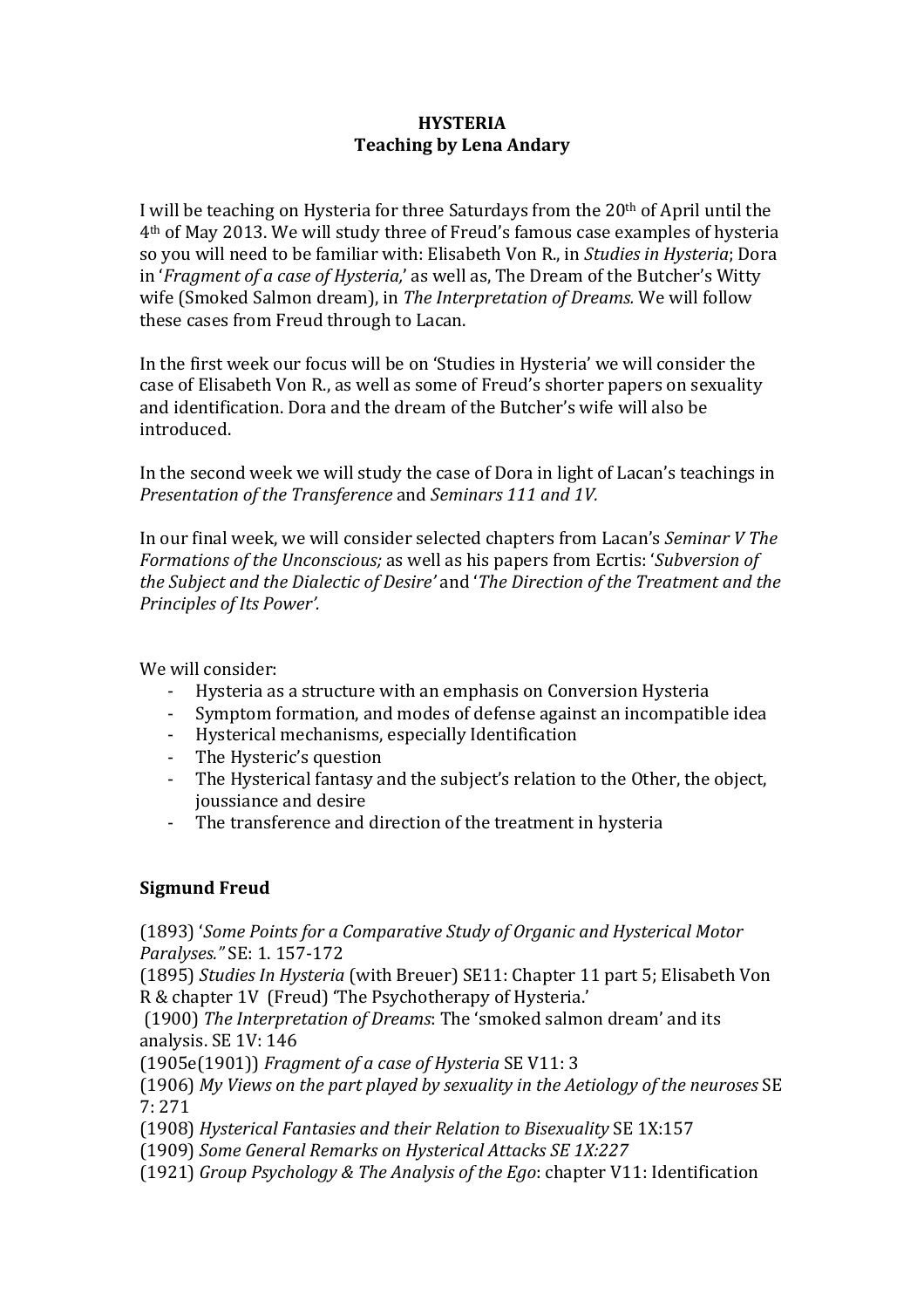## **HYSTERIA Teaching by Lena Andary**

I will be teaching on Hysteria for three Saturdays from the  $20<sup>th</sup>$  of April until the 4<sup>th</sup> of May 2013. We will study three of Freud's famous case examples of hysteria so you will need to be familiar with: Elisabeth Von R., in *Studies in Hysteria*; Dora in '*Fragment of a case of Hysteria*,' as well as, The Dream of the Butcher's Witty wife (Smoked Salmon dream), in The Interpretation of Dreams. We will follow these cases from Freud through to Lacan.

In the first week our focus will be on 'Studies in Hysteria' we will consider the case of Elisabeth Von R., as well as some of Freud's shorter papers on sexuality and identification. Dora and the dream of the Butcher's wife will also be introduced.

In the second week we will study the case of Dora in light of Lacan's teachings in *Presentation of the Transference and Seminars 111 and 1V.* 

In our final week, we will consider selected chapters from Lacan's *Seminar V The Formations of the Unconscious;* as well as his papers from Ecrtis: '*Subversion of the Subject and the Dialectic of Desire'* and '*The Direction of the Treatment and the Principles of Its Power'.* 

We will consider:

- Hysteria as a structure with an emphasis on Conversion Hysteria
- Symptom formation, and modes of defense against an incompatible idea
- Hysterical mechanisms, especially Identification
- The Hysteric's question
- The Hysterical fantasy and the subject's relation to the Other, the object, joussiance and desire
- The transference and direction of the treatment in hysteria

## **Sigmund)Freud**

(1893) 'Some Points for a Comparative Study of Organic and Hysterical Motor *Paralyses."* SE: 1. 157-172

(1895) *Studies In Hysteria* (with Breuer) SE11: Chapter 11 part 5; Elisabeth Von R & chapter 1V (Freud) 'The Psychotherapy of Hysteria.'

(1900) The Interpretation of Dreams: The 'smoked salmon dream' and its analysis. SE 1V: 146

(1905e(1901)) Fragment of a case of Hysteria SE V11: 3

(1906) My Views on the part played by sexuality in the Aetiology of the neuroses SE 7:"271

(1908) Hysterical Fantasies and their Relation to Bisexuality SE 1X:157

(1909) Some General Remarks on Hysterical Attacks SE 1X:227

(1921) *Group Psychology & The Analysis of the Ego: chapter V11: Identification*